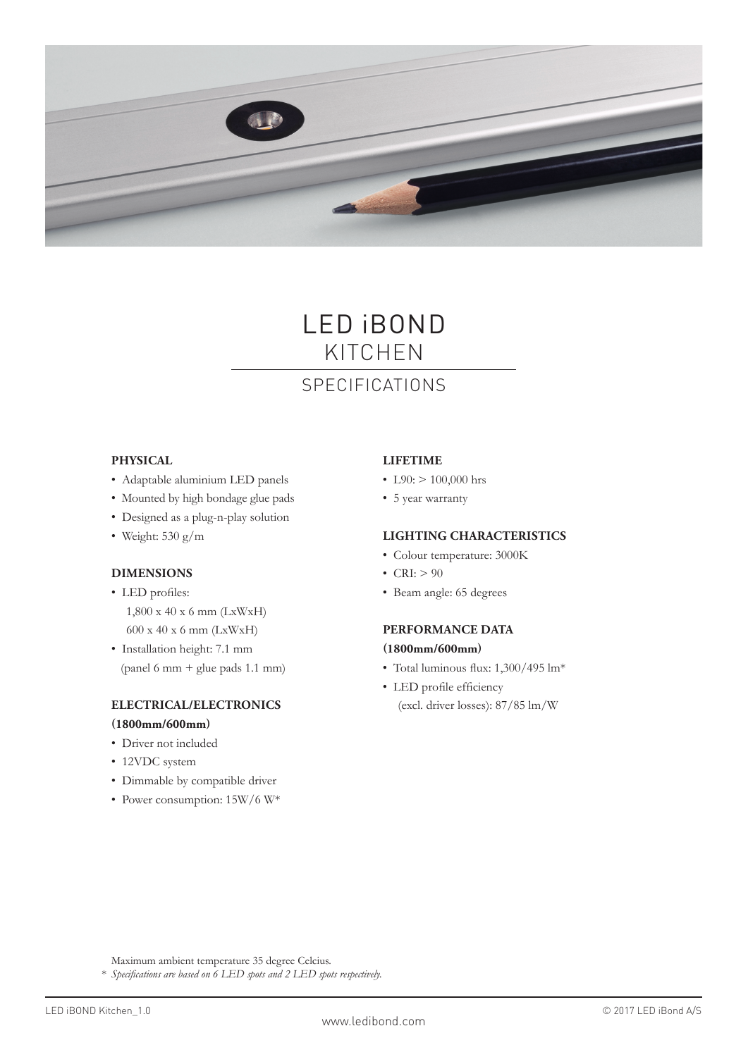

# LED iBOND KITCHEN

# SPECIFICATIONS

### **PHYSICAL**

- Adaptable aluminium LED panels
- Mounted by high bondage glue pads
- Designed as a plug-n-play solution
- Weight: 530 g/m

## **DIMENSIONS**

- LED profiles: 1,800 x 40 x 6 mm (LxWxH) 600 x 40 x 6 mm (LxWxH)
- Installation height: 7.1 mm (panel 6 mm + glue pads 1.1 mm)

#### **ELECTRICAL/ELECTRONICS (1800mm/600mm)**

- Driver not included
- 12VDC system
- Dimmable by compatible driver
- Power consumption: 15W/6 W\*

## **LIFETIME**

- L90:  $> 100,000$  hrs
- 5 year warranty

## **LIGHTING CHARACTERISTICS**

- Colour temperature: 3000K
- CRI:  $> 90$
- Beam angle: 65 degrees

#### **PERFORMANCE DATA**

#### **(1800mm/600mm)**

- Total luminous flux: 1,300/495 lm\*
- LED profile efficiency (excl. driver losses): 87/85 lm/W

Maximum ambient temperature 35 degree Celcius.

\* *Specifications are based on 6 LED spots and 2 LED spots respectively.*